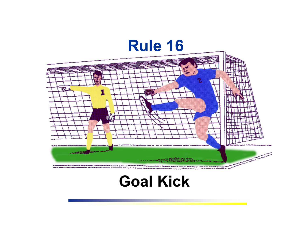

# **Goal Kick**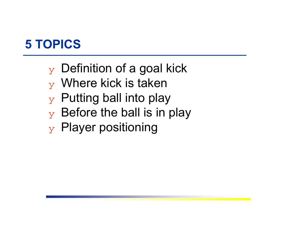#### **5 TOPICS**

- $_Y$  Definition of a goal kick
- ❖ Where kick is taken
- $\mathbf y$  Putting ball into play
- $\mathbf y$  Before the ball is in play
- ❖ Player positioning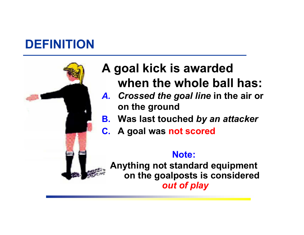# **DEFINITION**



# **A goal kick is awarded when the whole ball has:**

- *A. Crossed the goal line* **in the air or on the ground**
- **B. Was last touched** *by an attacker*
- **C. A goal was not scored**

#### **Note:**

**Anything not standard equipment on the goalposts is considered** *out of play*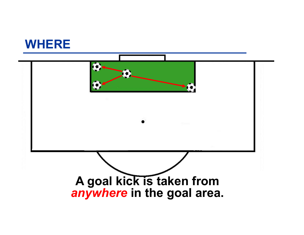

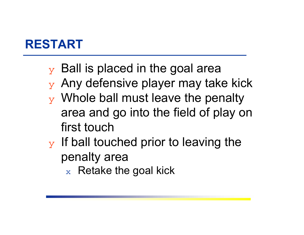### **RESTART**

- $\mathbf y$  Ball is placed in the goal area
- $\mathbf y$  Any defensive player may take kick
- $\mathbf y$  Whole ball must leave the penalty area and go into the field of play on first touch
- $\mathbf y$  If ball touched prior to leaving the penalty area
	- $\mathrm{_{\mathbf{x}}}$  Retake the goal kick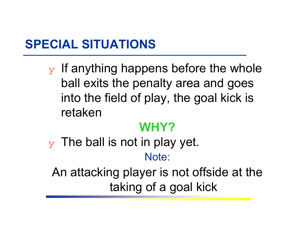### **SPECIAL SITUATIONS**

 $\mathbf y$  If anything happens before the whole ball exits the penalty area and goes into the field of play, the goal kick is retaken

#### **WHY?**

 $\mathbf y$  The ball is not in play yet. Note:

An attacking player is not offside at the taking of a goal kick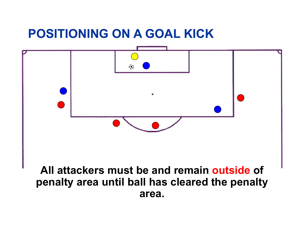#### **POSITIONING ON A GOAL KICK**



#### **All attackers must be and remain outside of penalty area until ball has cleared the penalty area.**